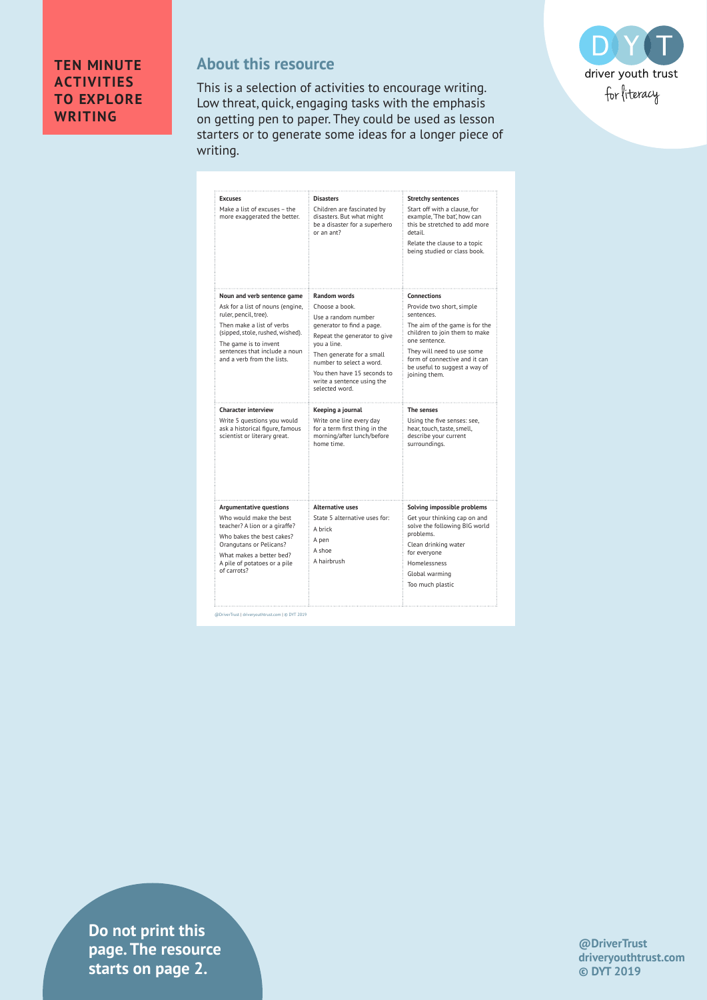

## **About this resource**

This is a selection of activities to encourage writing. Low threat, quick, engaging tasks with the emphasis on getting pen to paper. They could be used as lesson starters or to generate some ideas for a longer piece of writing.

| <b>Excuses</b>                                                                                                                                                                                                                                    | <b>Disasters</b>                                                                                                                                                                                                                                                                 | <b>Stretchy sentences</b>                                                                                                                                               |
|---------------------------------------------------------------------------------------------------------------------------------------------------------------------------------------------------------------------------------------------------|----------------------------------------------------------------------------------------------------------------------------------------------------------------------------------------------------------------------------------------------------------------------------------|-------------------------------------------------------------------------------------------------------------------------------------------------------------------------|
| Make a list of excuses - the<br>more exaggerated the better.                                                                                                                                                                                      | Children are fascinated by<br>disasters. But what might<br>be a disaster for a superhero<br>or an ant?                                                                                                                                                                           | Start off with a clause, for<br>example, 'The bat', how can<br>this be stretched to add more<br>detail.<br>Relate the clause to a topic<br>being studied or class book. |
| Noun and verb sentence game<br>Ask for a list of nouns (engine,<br>ruler, pencil, tree).<br>Then make a list of verbs<br>(sipped, stole, rushed, wished).<br>The game is to invent<br>sentences that include a noun<br>and a verb from the lists. | <b>Random words</b><br>Choose a book.<br>Use a random number<br>generator to find a page.<br>Repeat the generator to give<br>you a line.<br>Then generate for a small<br>number to select a word.<br>You then have 15 seconds to<br>write a sentence using the<br>selected word. | <b>Connections</b><br>Provide two short, simple                                                                                                                         |
|                                                                                                                                                                                                                                                   |                                                                                                                                                                                                                                                                                  | sentences.<br>The aim of the game is for the<br>children to join them to make<br>one sentence.                                                                          |
|                                                                                                                                                                                                                                                   |                                                                                                                                                                                                                                                                                  | They will need to use some<br>form of connective and it can<br>be useful to suggest a way of<br>joining them.                                                           |
| <b>Character interview</b>                                                                                                                                                                                                                        | Keeping a journal                                                                                                                                                                                                                                                                | The senses                                                                                                                                                              |
| Write 5 questions you would<br>ask a historical figure, famous<br>scientist or literary great.                                                                                                                                                    | Write one line every day<br>for a term first thing in the<br>morning/after lunch/before<br>home time.                                                                                                                                                                            | Using the five senses: see,<br>hear, touch, taste, smell,<br>describe your current<br>surroundings.                                                                     |
| <b>Argumentative questions</b>                                                                                                                                                                                                                    | <b>Alternative uses</b>                                                                                                                                                                                                                                                          | Solving impossible problems                                                                                                                                             |
| Who would make the best<br>teacher? A lion or a giraffe?                                                                                                                                                                                          | State 5 alternative uses for:<br>A brick                                                                                                                                                                                                                                         | Get your thinking cap on and<br>solve the following BIG world<br>problems.                                                                                              |
| Who bakes the best cakes?                                                                                                                                                                                                                         | A pen                                                                                                                                                                                                                                                                            |                                                                                                                                                                         |
| Orangutans or Pelicans?<br>What makes a better bed?                                                                                                                                                                                               | A shoe                                                                                                                                                                                                                                                                           | Clean drinking water<br>for everyone                                                                                                                                    |
| A pile of potatoes or a pile<br>of carrots?                                                                                                                                                                                                       | A hairbrush                                                                                                                                                                                                                                                                      | Homelessness<br>Global warming                                                                                                                                          |

@DriverTrust | driveryouthtrust.com | © DYT 2019

**drivers in text** is tarts on page 2. **Do not print this page. The resource** 

**@DriverTrust driveryouthtrust.com © DYT 2019**